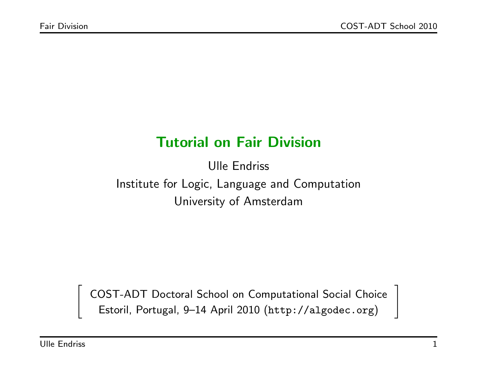## Tutorial on Fair Division

Ulle Endriss Institute for Logic, Language and Computation University of Amsterdam

COST-ADT Doctoral School on Computational Social Choice Estoril, Portugal, 9–14 April 2010 (http://algodec.org)

 $\sqrt{ }$ 

 $\overline{\phantom{a}}$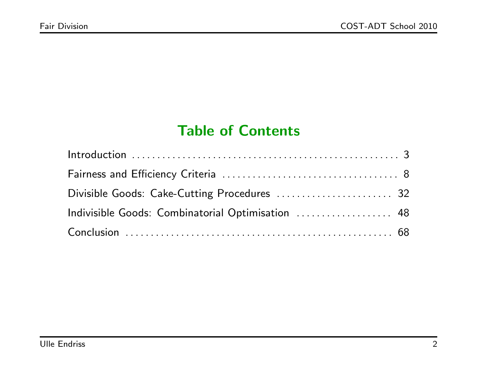## Table of Contents

| Divisible Goods: Cake-Cutting Procedures  32      |  |
|---------------------------------------------------|--|
| Indivisible Goods: Combinatorial Optimisation  48 |  |
|                                                   |  |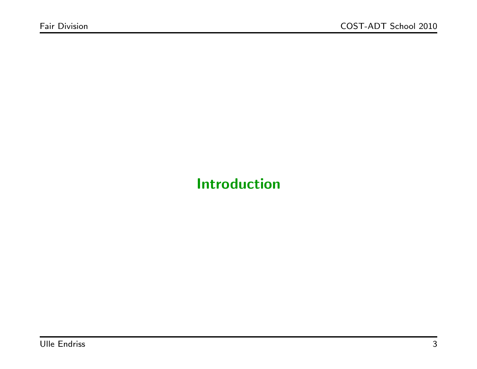# Introduction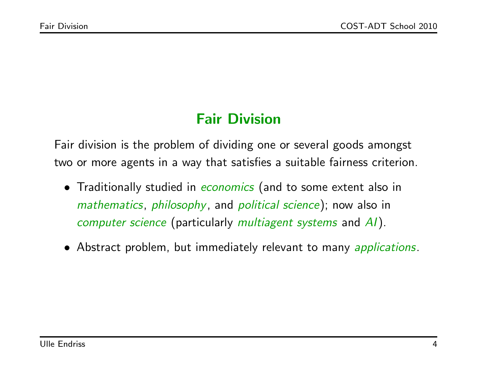# Fair Division

Fair division is the problem of dividing one or several goods amongst two or more agents in a way that satisfies a suitable fairness criterion.

- Traditionally studied in economics (and to some extent also in mathematics, philosophy, and political science); now also in computer science (particularly multiagent systems and AI).
- Abstract problem, but immediately relevant to many *applications*.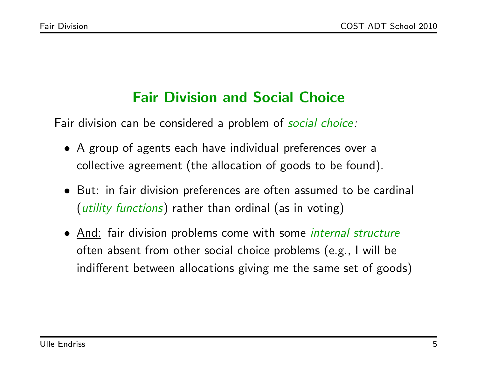# Fair Division and Social Choice

Fair division can be considered a problem of social choice:

- A group of agents each have individual preferences over a collective agreement (the allocation of goods to be found).
- But: in fair division preferences are often assumed to be cardinal (*utility functions*) rather than ordinal (as in voting)
- And: fair division problems come with some *internal structure* often absent from other social choice problems (e.g., I will be indifferent between allocations giving me the same set of goods)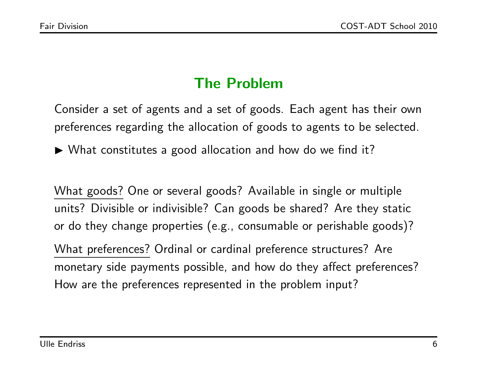# The Problem

Consider a set of agents and a set of goods. Each agent has their own preferences regarding the allocation of goods to agents to be selected.

 $\blacktriangleright$  What constitutes a good allocation and how do we find it?

What goods? One or several goods? Available in single or multiple units? Divisible or indivisible? Can goods be shared? Are they static or do they change properties (e.g., consumable or perishable goods)? What preferences? Ordinal or cardinal preference structures? Are

monetary side payments possible, and how do they affect preferences? How are the preferences represented in the problem input?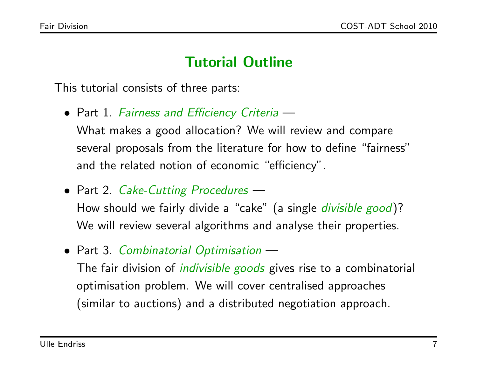### Tutorial Outline

This tutorial consists of three parts:

- Part 1. Fairness and Efficiency Criteria What makes a good allocation? We will review and compare several proposals from the literature for how to define "fairness" and the related notion of economic "efficiency".
- Part 2. Cake-Cutting Procedures -

How should we fairly divide a "cake" (a single *divisible good*)? We will review several algorithms and analyse their properties.

• Part 3. Combinatorial Optimisation –

The fair division of *indivisible goods* gives rise to a combinatorial optimisation problem. We will cover centralised approaches (similar to auctions) and a distributed negotiation approach.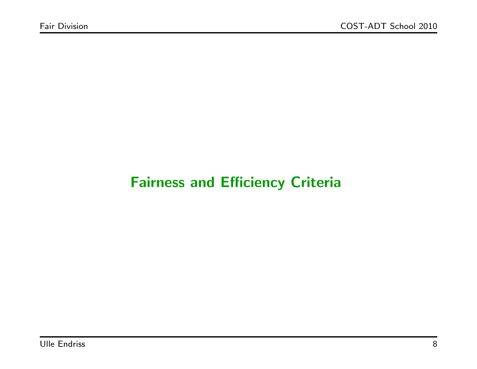## Fairness and Efficiency Criteria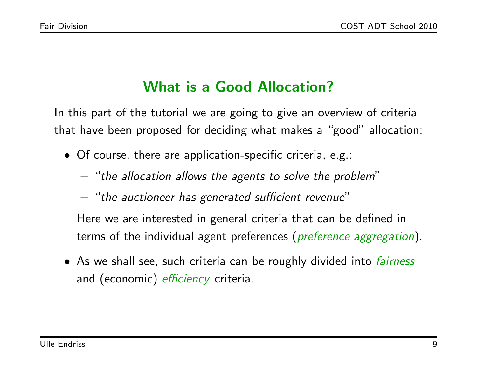# What is a Good Allocation?

In this part of the tutorial we are going to give an overview of criteria that have been proposed for deciding what makes a "good" allocation:

- Of course, there are application-specific criteria, e.g.:
	- $-$  "the allocation allows the agents to solve the problem"
	- "the auctioneer has generated sufficient revenue"
	- Here we are interested in general criteria that can be defined in terms of the individual agent preferences (*preference aggregation*).
- As we shall see, such criteria can be roughly divided into *fairness* and (economic) *efficiency* criteria.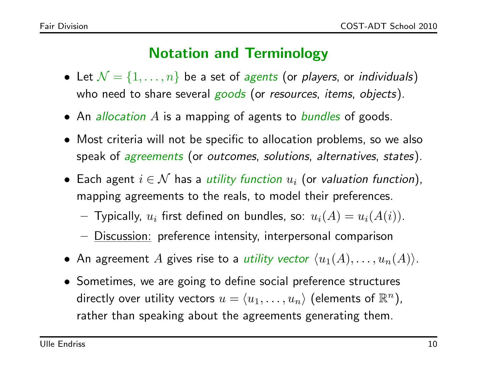## Notation and Terminology

- Let  $\mathcal{N} = \{1, \ldots, n\}$  be a set of agents (or players, or individuals) who need to share several goods (or resources, items, objects).
- An *allocation A* is a mapping of agents to *bundles* of goods.
- Most criteria will not be specific to allocation problems, so we also speak of *agreements* (or *outcomes*, *solutions*, *alternatives*, *states*).
- $\bullet\,$  Each agent  $i\in\mathcal{N}$  has a utility function  $u_i$  (or valuation function), mapping agreements to the reals, to model their preferences.
	- $-$  Typically,  $u_i$  first defined on bundles, so:  $u_i(A) = u_i(A(i))$ .
	- Discussion: preference intensity, interpersonal comparison
- An agreement A gives rise to a *utility vector*  $\langle u_1(A), \ldots, u_n(A) \rangle$ .
- Sometimes, we are going to define social preference structures directly over utility vectors  $u = \langle u_1, \ldots, u_n \rangle$  (elements of  $\mathbb{R}^n$ ), rather than speaking about the agreements generating them.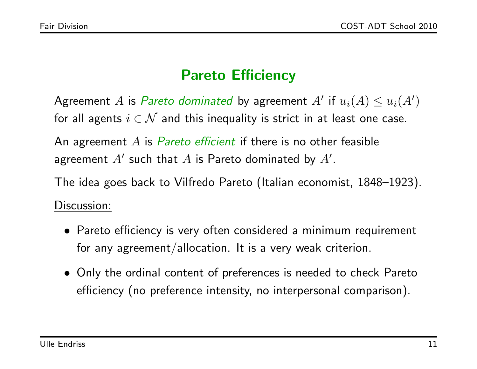# Pareto Efficiency

Agreement A is Pareto dominated by agreement  $A'$  if  $u_i(A) \leq u_i(A')$ for all agents  $i \in \mathcal{N}$  and this inequality is strict in at least one case.

An agreement  $A$  is *Pareto efficient* if there is no other feasible agreement  $A'$  such that  $A$  is Pareto dominated by  $A'$ .

The idea goes back to Vilfredo Pareto (Italian economist, 1848–1923). Discussion:

- Pareto efficiency is very often considered a minimum requirement for any agreement/allocation. It is a very weak criterion.
- Only the ordinal content of preferences is needed to check Pareto efficiency (no preference intensity, no interpersonal comparison).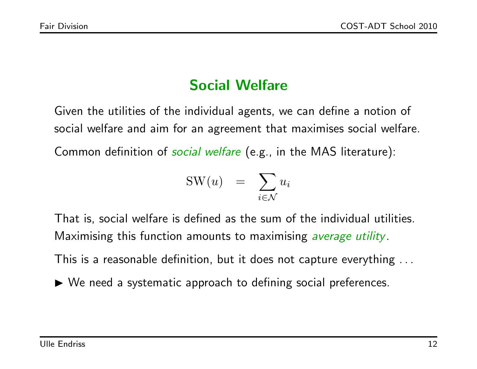# Social Welfare

Given the utilities of the individual agents, we can define a notion of social welfare and aim for an agreement that maximises social welfare. Common definition of *social welfare* (e.g., in the MAS literature):

$$
SW(u) = \sum_{i \in \mathcal{N}} u_i
$$

That is, social welfare is defined as the sum of the individual utilities. Maximising this function amounts to maximising *average utility*.

This is a reasonable definition, but it does not capture everything . . .

 $\triangleright$  We need a systematic approach to defining social preferences.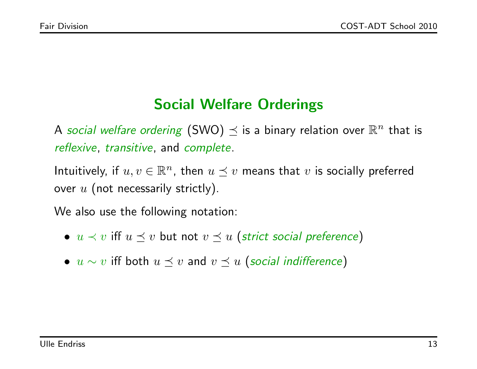## Social Welfare Orderings

A social welfare ordering (SWO)  $\preceq$  is a binary relation over  $\mathbb{R}^n$  that is reflexive, transitive, and complete.

Intuitively, if  $u, v \in \mathbb{R}^n$ , then  $u \preceq v$  means that  $v$  is socially preferred over  $u$  (not necessarily strictly).

We also use the following notation:

- $u \lt v$  iff  $u \leq v$  but not  $v \leq u$  (strict social preference)
- $u \sim v$  iff both  $u \preceq v$  and  $v \preceq u$  (social indifference)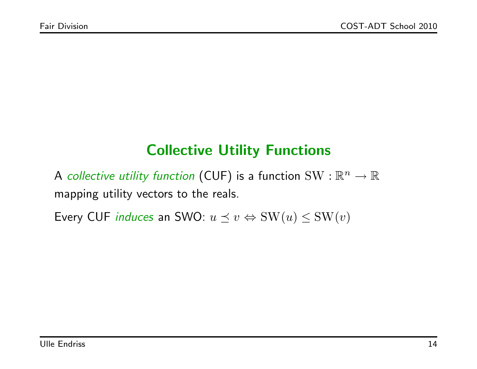## Collective Utility Functions

A collective utility function (CUF) is a function  $\text{SW}: \mathbb{R}^n \to \mathbb{R}$ mapping utility vectors to the reals.

Every CUF *induces* an SWO:  $u \preceq v \Leftrightarrow \text{SW}(u) \leq \text{SW}(v)$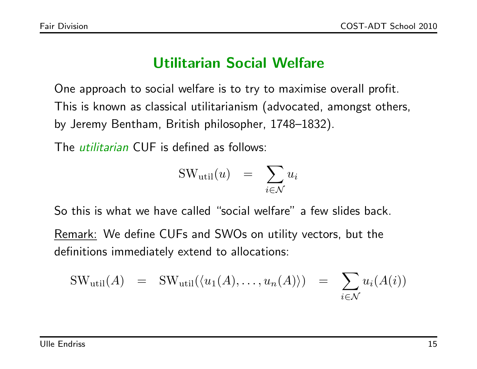### Utilitarian Social Welfare

One approach to social welfare is to try to maximise overall profit. This is known as classical utilitarianism (advocated, amongst others, by Jeremy Bentham, British philosopher, 1748–1832).

The utilitarian CUF is defined as follows:

$$
SW_{util}(u) = \sum_{i \in \mathcal{N}} u_i
$$

So this is what we have called "social welfare" a few slides back.

Remark: We define CUFs and SWOs on utility vectors, but the definitions immediately extend to allocations:

$$
SW_{util}(A) = SW_{util}(\langle u_1(A), \dots, u_n(A) \rangle) = \sum_{i \in \mathcal{N}} u_i(A(i))
$$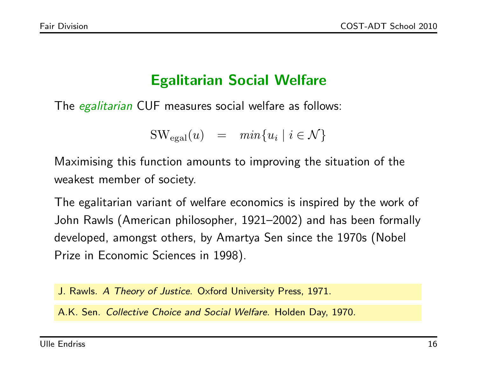## Egalitarian Social Welfare

The *egalitarian* CUF measures social welfare as follows:

$$
SW_{\text{egal}}(u) = \min\{u_i \mid i \in \mathcal{N}\}\
$$

Maximising this function amounts to improving the situation of the weakest member of society.

The egalitarian variant of welfare economics is inspired by the work of John Rawls (American philosopher, 1921–2002) and has been formally developed, amongst others, by Amartya Sen since the 1970s (Nobel Prize in Economic Sciences in 1998).

J. Rawls. A Theory of Justice. Oxford University Press, 1971.

A.K. Sen. Collective Choice and Social Welfare. Holden Day, 1970.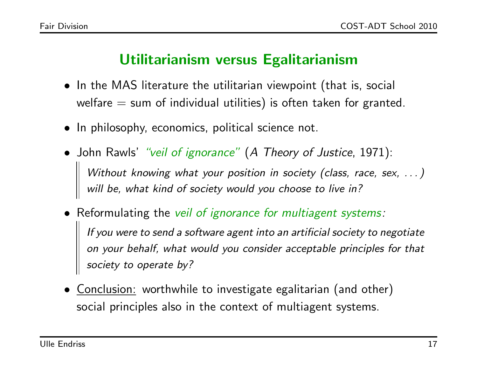#### Utilitarianism versus Egalitarianism

- In the MAS literature the utilitarian viewpoint (that is, social welfare  $=$  sum of individual utilities) is often taken for granted.
- In philosophy, economics, political science not.
- John Rawls' "veil of ignorance" (A Theory of Justice, 1971): Without knowing what your position in society (class, race, sex, ...) will be, what kind of society would you choose to live in?
- Reformulating the veil of ignorance for multiagent systems: If you were to send a software agent into an artificial society to negotiate on your behalf, what would you consider acceptable principles for that society to operate by?
- Conclusion: worthwhile to investigate egalitarian (and other) social principles also in the context of multiagent systems.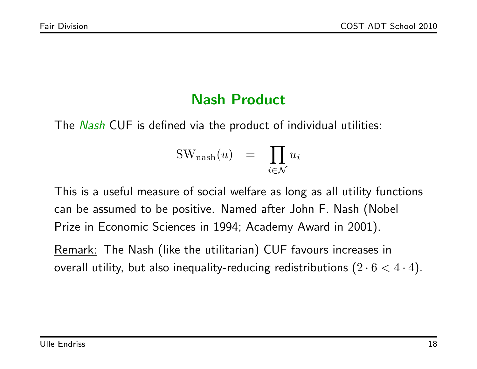### Nash Product

The Nash CUF is defined via the product of individual utilities:

$$
SWnash(u) = \prod_{i \in \mathcal{N}} u_i
$$

This is a useful measure of social welfare as long as all utility functions can be assumed to be positive. Named after John F. Nash (Nobel Prize in Economic Sciences in 1994; Academy Award in 2001).

Remark: The Nash (like the utilitarian) CUF favours increases in overall utility, but also inequality-reducing redistributions  $(2 \cdot 6 < 4 \cdot 4)$ .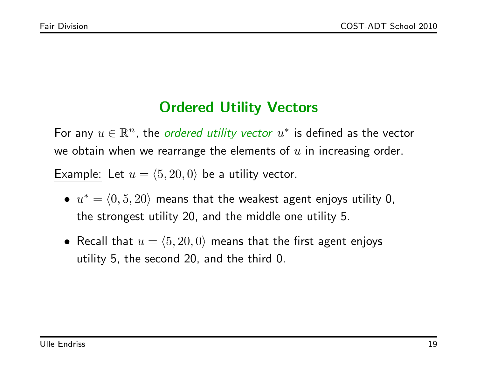### Ordered Utility Vectors

For any  $u \in \mathbb{R}^n$ , the ordered utility vector  $u^*$  is defined as the vector we obtain when we rearrange the elements of  $u$  in increasing order. Example: Let  $u = \langle 5, 20, 0 \rangle$  be a utility vector.

- $u^* = \langle 0, 5, 20 \rangle$  means that the weakest agent enjoys utility 0, the strongest utility 20, and the middle one utility 5.
- Recall that  $u = \langle 5, 20, 0 \rangle$  means that the first agent enjoys utility 5, the second 20, and the third 0.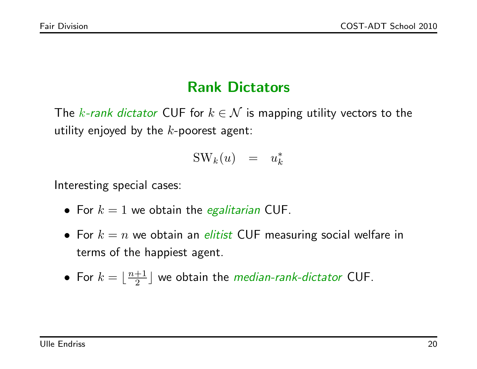## Rank Dictators

The k-rank dictator CUF for  $k \in \mathcal{N}$  is mapping utility vectors to the utility enjoyed by the  $k$ -poorest agent:

$$
SW_k(u) = u_k^*
$$

Interesting special cases:

- For  $k = 1$  we obtain the *egalitarian* CUF.
- For  $k = n$  we obtain an *elitist* CUF measuring social welfare in terms of the happiest agent.
- For  $k=\lfloor \frac{n+1}{2} \rfloor$  $\frac{+1}{2}$  we obtain the *median-rank-dictator* CUF.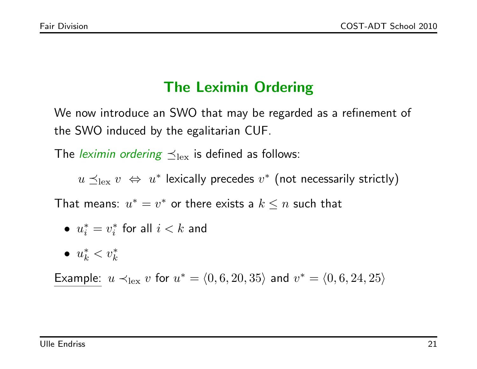# The Leximin Ordering

We now introduce an SWO that may be regarded as a refinement of the SWO induced by the egalitarian CUF.

The *leximin ordering*  $\preceq_{\text{lex}}$  is defined as follows:

 $u \preceq_{\text{lex}} v \ \Leftrightarrow \ u^*$  lexically precedes  $v^*$  (not necessarily strictly)

That means:  $u^* = v^*$  or there exists a  $k \leq n$  such that

$$
\bullet \ \ u_i^* = v_i^* \ \ \text{for all} \ \ i < k \ \ \text{and}
$$

$$
\bullet \;\; u_k^* < v_k^*
$$

Example:  $u \prec_{\text{lex}} v$  for  $u^* = \langle 0, 6, 20, 35 \rangle$  and  $v^* = \langle 0, 6, 24, 25 \rangle$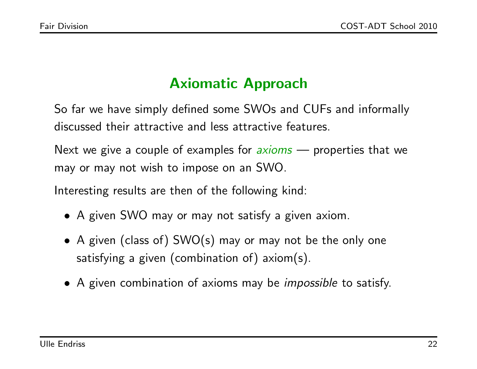## Axiomatic Approach

So far we have simply defined some SWOs and CUFs and informally discussed their attractive and less attractive features.

Next we give a couple of examples for *axioms* — properties that we may or may not wish to impose on an SWO.

Interesting results are then of the following kind:

- A given SWO may or may not satisfy a given axiom.
- A given (class of) SWO(s) may or may not be the only one satisfying a given (combination of) axiom(s).
- A given combination of axioms may be *impossible* to satisfy.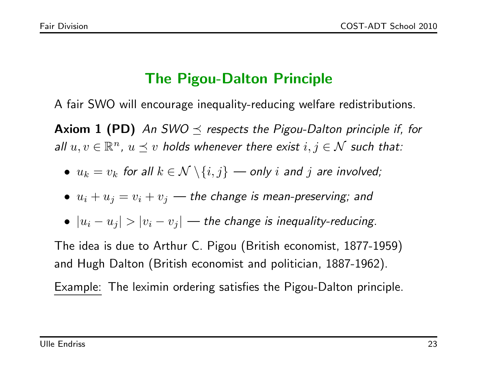### The Pigou-Dalton Principle

A fair SWO will encourage inequality-reducing welfare redistributions.

**Axiom 1 (PD)** An SWO  $\prec$  respects the Pigou-Dalton principle if, for all  $u, v \in \mathbb{R}^n$ ,  $u \preceq v$  holds whenever there exist  $i, j \in \mathcal{N}$  such that:

•  $u_k = v_k$  for all  $k \in \mathcal{N} \setminus \{i, j\}$  — only i and j are involved;

• 
$$
u_i + u_j = v_i + v_j
$$
 — the change is mean-preserving; and

•  $|u_i - u_j| > |v_i - v_j|$  — the change is inequality-reducing.

The idea is due to Arthur C. Pigou (British economist, 1877-1959) and Hugh Dalton (British economist and politician, 1887-1962).

Example: The leximin ordering satisfies the Pigou-Dalton principle.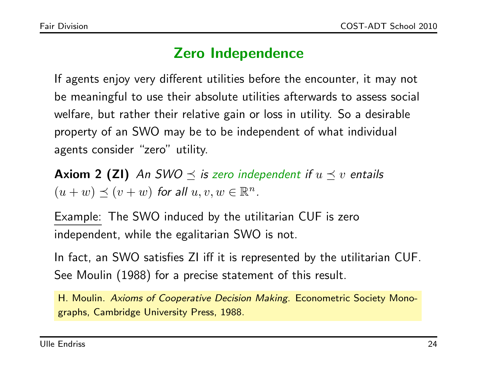### Zero Independence

If agents enjoy very different utilities before the encounter, it may not be meaningful to use their absolute utilities afterwards to assess social welfare, but rather their relative gain or loss in utility. So a desirable property of an SWO may be to be independent of what individual agents consider "zero" utility.

**Axiom 2 (ZI)** An SWO  $\preceq$  is zero independent if  $u \preceq v$  entails  $(u + w) \preceq (v + w)$  for all  $u, v, w \in \mathbb{R}^n$ .

Example: The SWO induced by the utilitarian CUF is zero independent, while the egalitarian SWO is not.

In fact, an SWO satisfies ZI iff it is represented by the utilitarian CUF. See Moulin (1988) for a precise statement of this result.

H. Moulin. Axioms of Cooperative Decision Making. Econometric Society Monographs, Cambridge University Press, 1988.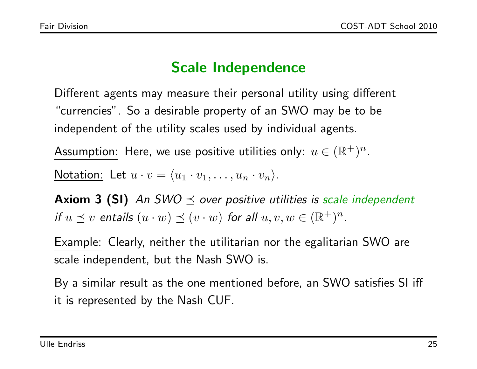## Scale Independence

Different agents may measure their personal utility using different "currencies". So a desirable property of an SWO may be to be independent of the utility scales used by individual agents.

Assumption: Here, we use positive utilities only:  $u \in (\mathbb{R}^+)^n.$ 

Notation: Let  $u \cdot v = \langle u_1 \cdot v_1, \ldots, u_n \cdot v_n \rangle$ .

**Axiom 3 (SI)** An SWO  $\preceq$  over positive utilities is scale independent if  $u \preceq v$  entails  $(u \cdot w) \preceq (v \cdot w)$  for all  $u, v, w \in (\mathbb{R}^+)^n$ .

Example: Clearly, neither the utilitarian nor the egalitarian SWO are scale independent, but the Nash SWO is.

By a similar result as the one mentioned before, an SWO satisfies SI iff it is represented by the Nash CUF.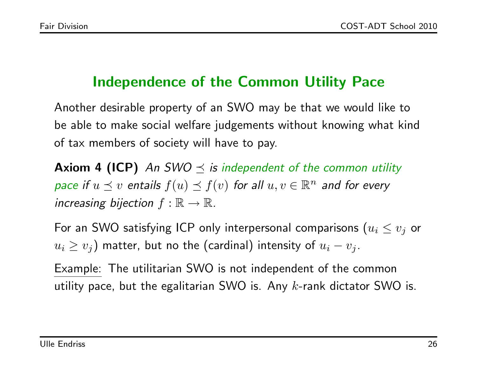# Independence of the Common Utility Pace

Another desirable property of an SWO may be that we would like to be able to make social welfare judgements without knowing what kind of tax members of society will have to pay.

**Axiom 4 (ICP)** An SWO  $\leq$  is independent of the common utility pace if  $u \preceq v$  entails  $f(u) \preceq f(v)$  for all  $u, v \in \mathbb{R}^n$  and for every increasing bijection  $f : \mathbb{R} \to \mathbb{R}$ .

For an SWO satisfying ICP only interpersonal comparisons  $(u_i \leq v_j$  or  $u_i \geq v_j)$  matter, but no the (cardinal) intensity of  $u_i - v_j.$ 

Example: The utilitarian SWO is not independent of the common utility pace, but the egalitarian SWO is. Any  $k$ -rank dictator SWO is.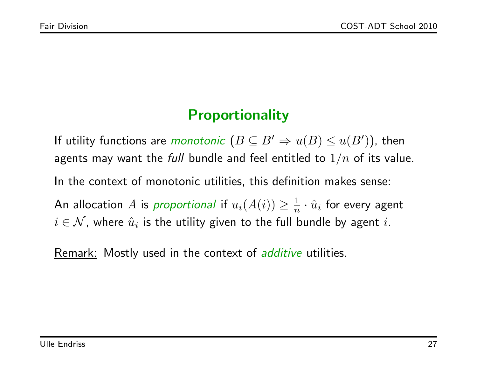## **Proportionality**

If utility functions are *monotonic*  $(B \subseteq B' \Rightarrow u(B) \le u(B'))$ , then agents may want the full bundle and feel entitled to  $1/n$  of its value. In the context of monotonic utilities, this definition makes sense: An allocation  $A$  is proportional if  $u_i(A(i))\geq \frac{1}{n}$  $\frac{1}{n}\cdot\hat{u}_i$  for every agent  $i \in \mathcal{N}$ , where  $\hat{u}_i$  is the utility given to the full bundle by agent  $i.$ 

Remark: Mostly used in the context of *additive* utilities.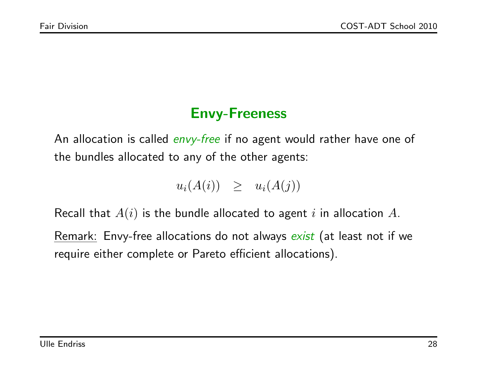### Envy-Freeness

An allocation is called *envy-free* if no agent would rather have one of the bundles allocated to any of the other agents:

$$
u_i(A(i)) \geq u_i(A(j))
$$

Recall that  $A(i)$  is the bundle allocated to agent i in allocation A.

Remark: Envy-free allocations do not always exist (at least not if we require either complete or Pareto efficient allocations).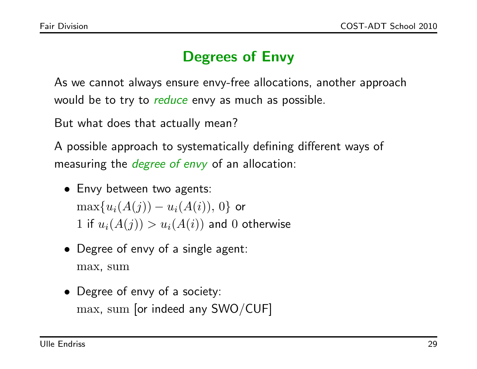# Degrees of Envy

As we cannot always ensure envy-free allocations, another approach would be to try to reduce envy as much as possible.

But what does that actually mean?

A possible approach to systematically defining different ways of measuring the *degree of envy* of an allocation:

- Envy between two agents:  $\max\{u_i(A(j))-u_i(A(i)),\,0\}$  or  $1$  if  $u_i(A(j)) > u_i(A(i))$  and  $0$  otherwise
- Degree of envy of a single agent: max, sum
- Degree of envy of a society: max, sum [or indeed any SWO/CUF]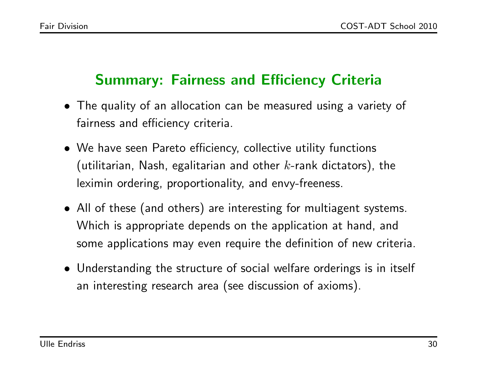### Summary: Fairness and Efficiency Criteria

- The quality of an allocation can be measured using a variety of fairness and efficiency criteria.
- We have seen Pareto efficiency, collective utility functions (utilitarian, Nash, egalitarian and other  $k$ -rank dictators), the leximin ordering, proportionality, and envy-freeness.
- All of these (and others) are interesting for multiagent systems. Which is appropriate depends on the application at hand, and some applications may even require the definition of new criteria.
- Understanding the structure of social welfare orderings is in itself an interesting research area (see discussion of axioms).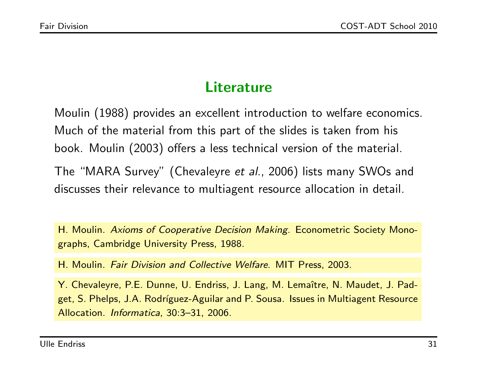### **Literature**

Moulin (1988) provides an excellent introduction to welfare economics. Much of the material from this part of the slides is taken from his book. Moulin (2003) offers a less technical version of the material.

The "MARA Survey" (Chevaleyre et al., 2006) lists many SWOs and discusses their relevance to multiagent resource allocation in detail.

H. Moulin. Axioms of Cooperative Decision Making. Econometric Society Monographs, Cambridge University Press, 1988.

H. Moulin. Fair Division and Collective Welfare. MIT Press, 2003.

Y. Chevaleyre, P.E. Dunne, U. Endriss, J. Lang, M. Lemaître, N. Maudet, J. Padget, S. Phelps, J.A. Rodríguez-Aguilar and P. Sousa. Issues in Multiagent Resource Allocation. Informatica, 30:3–31, 2006.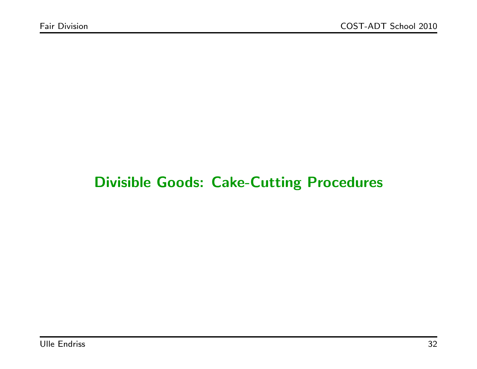## Divisible Goods: Cake-Cutting Procedures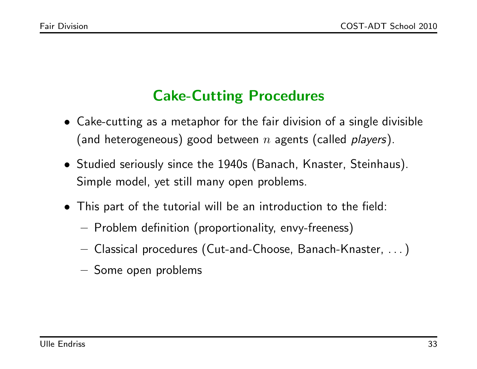# Cake-Cutting Procedures

- Cake-cutting as a metaphor for the fair division of a single divisible (and heterogeneous) good between n agents (called players).
- Studied seriously since the 1940s (Banach, Knaster, Steinhaus). Simple model, yet still many open problems.
- This part of the tutorial will be an introduction to the field:
	- Problem definition (proportionality, envy-freeness)
	- Classical procedures (Cut-and-Choose, Banach-Knaster, . . . )
	- Some open problems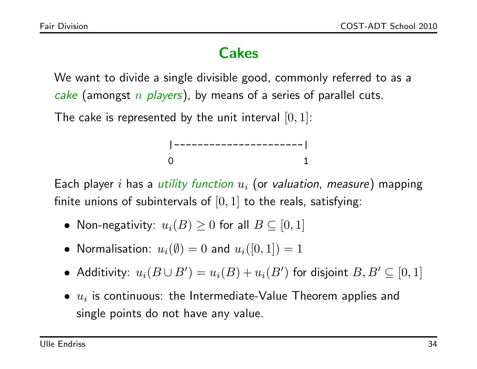## Cakes

We want to divide a single divisible good, commonly referred to as a cake (amongst  $n$  players), by means of a series of parallel cuts.

The cake is represented by the unit interval  $[0, 1]$ :



Each player i has a utility function  $u_i$  (or valuation, measure) mapping finite unions of subintervals of  $[0, 1]$  to the reals, satisfying:

- $\bullet\,$  Non-negativity:  $u_i(B)\geq 0$  for all  $B\subseteq [0,1]$
- $\bullet\,$  Normalisation:  $u_i(\emptyset)=0$  and  $u_i([0,1])=1$
- Additivity:  $u_i(B\cup B')=u_i(B)+u_i(B')$  for disjoint  $B,B'\subseteq [0,1]$
- $\bullet$   $u_i$  is continuous: the Intermediate-Value Theorem applies and single points do not have any value.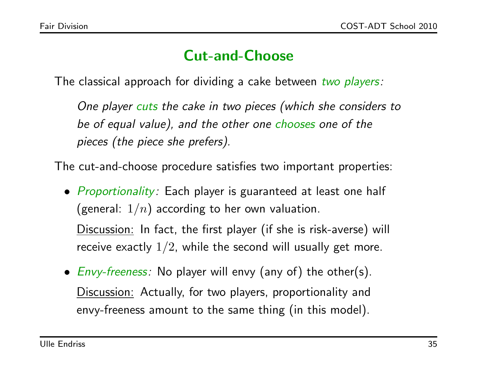### Cut-and-Choose

The classical approach for dividing a cake between two players:

One player cuts the cake in two pieces (which she considers to be of equal value), and the other one chooses one of the pieces (the piece she prefers).

The cut-and-choose procedure satisfies two important properties:

- *Proportionality*: Each player is guaranteed at least one half (general:  $1/n$ ) according to her own valuation. Discussion: In fact, the first player (if she is risk-averse) will receive exactly  $1/2$ , while the second will usually get more.
- $Envy-freeness:$  No player will envy (any of) the other(s). Discussion: Actually, for two players, proportionality and envy-freeness amount to the same thing (in this model).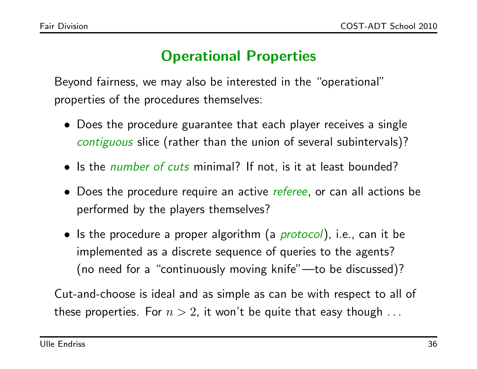# Operational Properties

Beyond fairness, we may also be interested in the "operational" properties of the procedures themselves:

- Does the procedure guarantee that each player receives a single contiguous slice (rather than the union of several subintervals)?
- Is the *number of cuts* minimal? If not, is it at least bounded?
- Does the procedure require an active *referee*, or can all actions be performed by the players themselves?
- Is the procedure a proper algorithm (a *protocol*), i.e., can it be implemented as a discrete sequence of queries to the agents? (no need for a "continuously moving knife"—to be discussed)?

Cut-and-choose is ideal and as simple as can be with respect to all of these properties. For  $n > 2$ , it won't be quite that easy though ...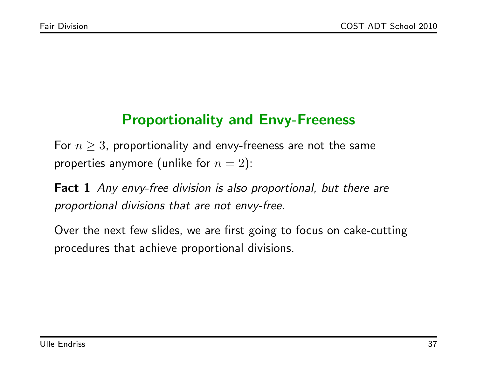## Proportionality and Envy-Freeness

For  $n \geq 3$ , proportionality and envy-freeness are not the same properties anymore (unlike for  $n = 2$ ):

Fact 1 Any envy-free division is also proportional, but there are proportional divisions that are not envy-free.

Over the next few slides, we are first going to focus on cake-cutting procedures that achieve proportional divisions.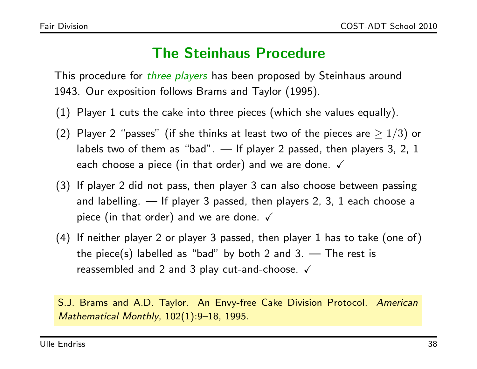#### The Steinhaus Procedure

This procedure for *three players* has been proposed by Steinhaus around 1943. Our exposition follows Brams and Taylor (1995).

- (1) Player 1 cuts the cake into three pieces (which she values equally).
- (2) Player 2 "passes" (if she thinks at least two of the pieces are  $\geq 1/3$ ) or labels two of them as "bad". — If player 2 passed, then players 3, 2, 1 each choose a piece (in that order) and we are done.  $\checkmark$
- (3) If player 2 did not pass, then player 3 can also choose between passing and labelling. — If player 3 passed, then players 2, 3, 1 each choose a piece (in that order) and we are done.  $\checkmark$
- (4) If neither player 2 or player 3 passed, then player 1 has to take (one of) the piece(s) labelled as "bad" by both 2 and 3.  $-$  The rest is reassembled and 2 and 3 play cut-and-choose.  $\checkmark$

S.J. Brams and A.D. Taylor. An Envy-free Cake Division Protocol. American Mathematical Monthly, 102(1):9–18, 1995.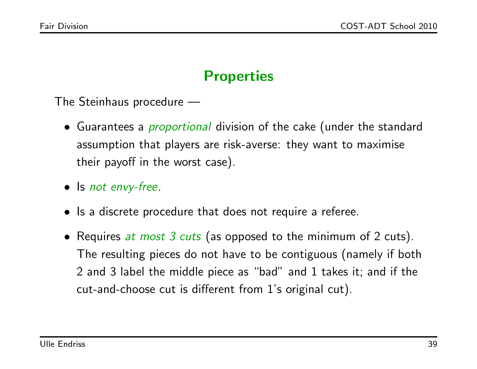## **Properties**

The Steinhaus procedure —

- Guarantees a *proportional* division of the cake (under the standard assumption that players are risk-averse: they want to maximise their payoff in the worst case).
- Is not envy-free.
- Is a discrete procedure that does not require a referee.
- Requires at most 3 cuts (as opposed to the minimum of 2 cuts). The resulting pieces do not have to be contiguous (namely if both 2 and 3 label the middle piece as "bad" and 1 takes it; and if the cut-and-choose cut is different from 1's original cut).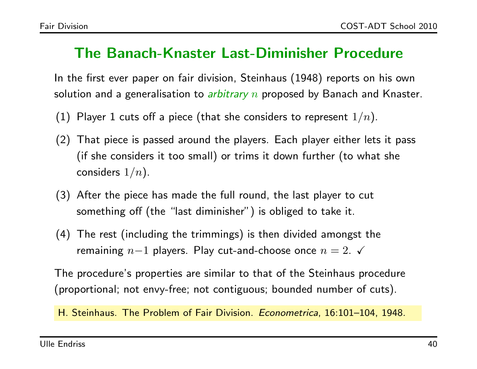#### The Banach-Knaster Last-Diminisher Procedure

In the first ever paper on fair division, Steinhaus (1948) reports on his own solution and a generalisation to *arbitrary n* proposed by Banach and Knaster.

- (1) Player 1 cuts off a piece (that she considers to represent  $1/n$ ).
- (2) That piece is passed around the players. Each player either lets it pass (if she considers it too small) or trims it down further (to what she considers  $1/n$ ).
- (3) After the piece has made the full round, the last player to cut something off (the "last diminisher") is obliged to take it.
- (4) The rest (including the trimmings) is then divided amongst the remaining  $n-1$  players. Play cut-and-choose once  $n = 2$ .  $\checkmark$

The procedure's properties are similar to that of the Steinhaus procedure (proportional; not envy-free; not contiguous; bounded number of cuts).

H. Steinhaus. The Problem of Fair Division. Econometrica, 16:101–104, 1948.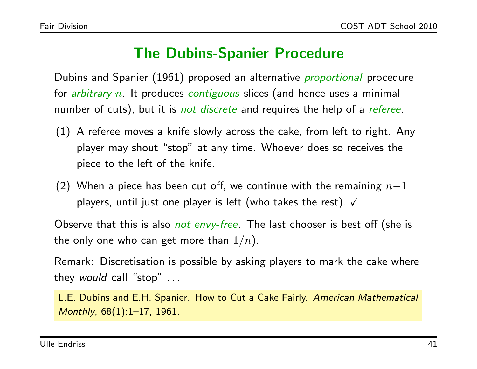### The Dubins-Spanier Procedure

Dubins and Spanier (1961) proposed an alternative *proportional* procedure for *arbitrary n*. It produces *contiguous* slices (and hence uses a minimal number of cuts), but it is *not discrete* and requires the help of a *referee*.

- (1) A referee moves a knife slowly across the cake, from left to right. Any player may shout "stop" at any time. Whoever does so receives the piece to the left of the knife.
- (2) When a piece has been cut off, we continue with the remaining  $n-1$ players, until just one player is left (who takes the rest).  $\checkmark$

Observe that this is also *not envy-free*. The last chooser is best off (she is the only one who can get more than  $1/n$ ).

Remark: Discretisation is possible by asking players to mark the cake where they would call "stop" ...

L.E. Dubins and E.H. Spanier. How to Cut a Cake Fairly. American Mathematical Monthly, 68(1):1–17, 1961.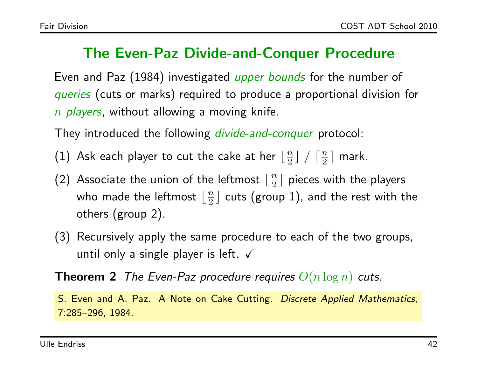#### The Even-Paz Divide-and-Conquer Procedure

Even and Paz (1984) investigated *upper bounds* for the number of queries (cuts or marks) required to produce a proportional division for  $n$  players, without allowing a moving knife.

They introduced the following *divide-and-conquer* protocol:

(1) Ask each player to cut the cake at her  $\lfloor \frac{n}{2} \rfloor$  $\frac{n}{2}$   $\left| \begin{array}{c} \sqrt{n} \\ \sqrt{n} \end{array} \right|$  $\frac{n}{2}$  mark.

- (2) Associate the union of the leftmost  $\lfloor \frac{n}{2} \rfloor$  $\frac{n}{2}$ ] pieces with the players who made the leftmost  $\lfloor \frac{n}{2} \rfloor$  $\frac{n}{2}$ ] cuts (group 1), and the rest with the others (group 2).
- (3) Recursively apply the same procedure to each of the two groups, until only a single player is left.  $\checkmark$

**Theorem 2** The Even-Paz procedure requires  $O(n \log n)$  cuts.

S. Even and A. Paz. A Note on Cake Cutting. Discrete Applied Mathematics, 7:285–296, 1984.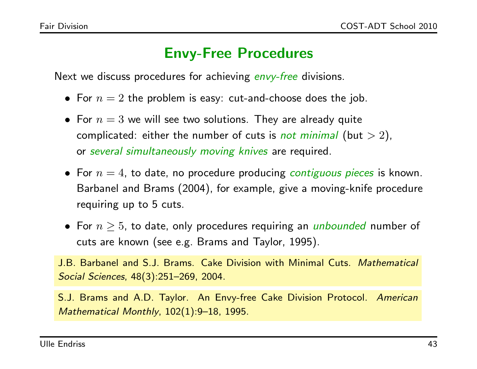#### Envy-Free Procedures

Next we discuss procedures for achieving envy-free divisions.

- For  $n=2$  the problem is easy: cut-and-choose does the job.
- For  $n=3$  we will see two solutions. They are already quite complicated: either the number of cuts is *not minimal* (but  $> 2$ ), or several simultaneously moving knives are required.
- For  $n = 4$ , to date, no procedure producing *contiguous pieces* is known. Barbanel and Brams (2004), for example, give a moving-knife procedure requiring up to 5 cuts.
- For  $n \geq 5$ , to date, only procedures requiring an *unbounded* number of cuts are known (see e.g. Brams and Taylor, 1995).

J.B. Barbanel and S.J. Brams. Cake Division with Minimal Cuts. Mathematical Social Sciences, 48(3):251–269, 2004.

S.J. Brams and A.D. Taylor. An Envy-free Cake Division Protocol. American Mathematical Monthly, 102(1):9–18, 1995.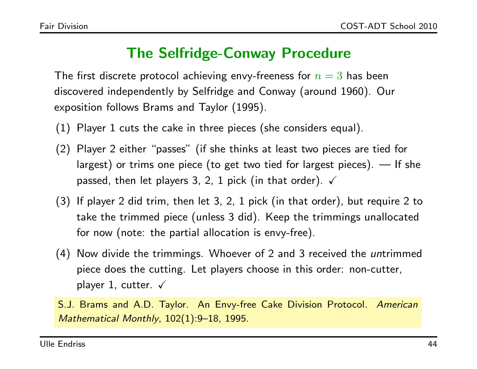#### The Selfridge-Conway Procedure

The first discrete protocol achieving envy-freeness for  $n = 3$  has been discovered independently by Selfridge and Conway (around 1960). Our exposition follows Brams and Taylor (1995).

- (1) Player 1 cuts the cake in three pieces (she considers equal).
- (2) Player 2 either "passes" (if she thinks at least two pieces are tied for largest) or trims one piece (to get two tied for largest pieces). — If she passed, then let players 3, 2, 1 pick (in that order).  $\checkmark$
- (3) If player 2 did trim, then let 3, 2, 1 pick (in that order), but require 2 to take the trimmed piece (unless 3 did). Keep the trimmings unallocated for now (note: the partial allocation is envy-free).
- (4) Now divide the trimmings. Whoever of 2 and 3 received the *un*trimmed piece does the cutting. Let players choose in this order: non-cutter, player 1, cutter.  $\sqrt{ }$
- S.J. Brams and A.D. Taylor. An Envy-free Cake Division Protocol. American Mathematical Monthly, 102(1):9–18, 1995.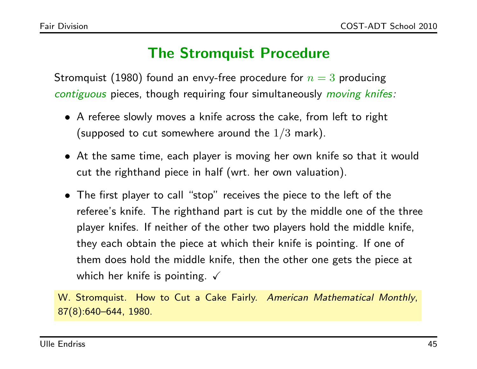#### The Stromquist Procedure

Stromquist (1980) found an envy-free procedure for  $n = 3$  producing contiguous pieces, though requiring four simultaneously moving knifes:

- A referee slowly moves a knife across the cake, from left to right (supposed to cut somewhere around the  $1/3$  mark).
- At the same time, each player is moving her own knife so that it would cut the righthand piece in half (wrt. her own valuation).
- The first player to call "stop" receives the piece to the left of the referee's knife. The righthand part is cut by the middle one of the three player knifes. If neither of the other two players hold the middle knife, they each obtain the piece at which their knife is pointing. If one of them does hold the middle knife, then the other one gets the piece at which her knife is pointing.  $\sqrt{ }$

W. Stromquist. How to Cut a Cake Fairly. American Mathematical Monthly, 87(8):640–644, 1980.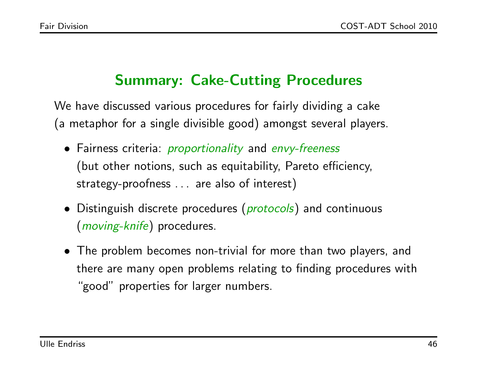# Summary: Cake-Cutting Procedures

We have discussed various procedures for fairly dividing a cake (a metaphor for a single divisible good) amongst several players.

- Fairness criteria: *proportionality* and envy-freeness (but other notions, such as equitability, Pareto efficiency, strategy-proofness . . . are also of interest)
- Distinguish discrete procedures (*protocols*) and continuous (*moving-knife*) procedures.
- The problem becomes non-trivial for more than two players, and there are many open problems relating to finding procedures with "good" properties for larger numbers.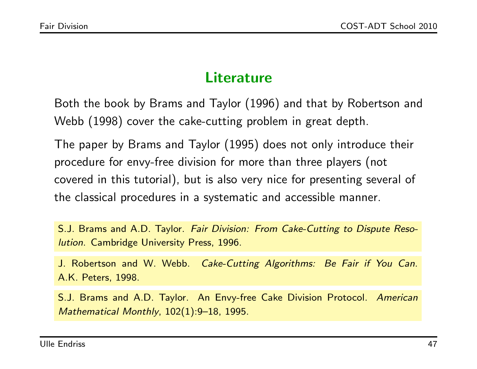#### **Literature**

Both the book by Brams and Taylor (1996) and that by Robertson and Webb (1998) cover the cake-cutting problem in great depth.

The paper by Brams and Taylor (1995) does not only introduce their procedure for envy-free division for more than three players (not covered in this tutorial), but is also very nice for presenting several of the classical procedures in a systematic and accessible manner.

S.J. Brams and A.D. Taylor. Fair Division: From Cake-Cutting to Dispute Resolution. Cambridge University Press, 1996.

J. Robertson and W. Webb. Cake-Cutting Algorithms: Be Fair if You Can. A.K. Peters, 1998.

S.J. Brams and A.D. Taylor. An Envy-free Cake Division Protocol. American Mathematical Monthly, 102(1):9–18, 1995.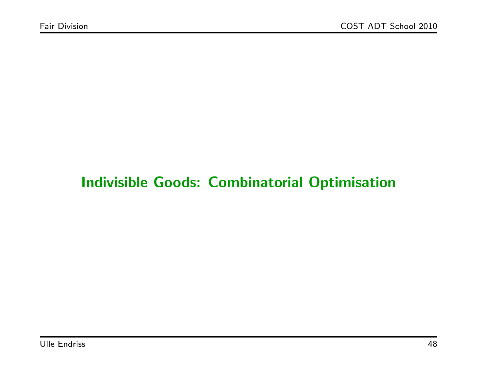## Indivisible Goods: Combinatorial Optimisation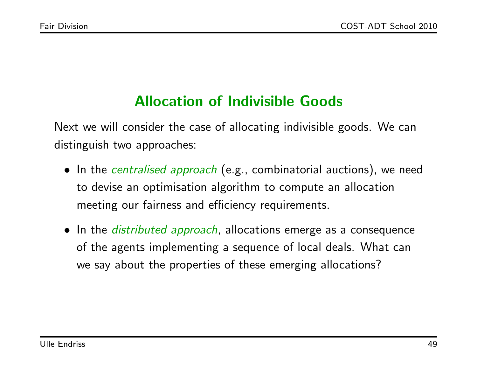## Allocation of Indivisible Goods

Next we will consider the case of allocating indivisible goods. We can distinguish two approaches:

- In the *centralised approach* (e.g., combinatorial auctions), we need to devise an optimisation algorithm to compute an allocation meeting our fairness and efficiency requirements.
- In the *distributed approach*, allocations emerge as a consequence of the agents implementing a sequence of local deals. What can we say about the properties of these emerging allocations?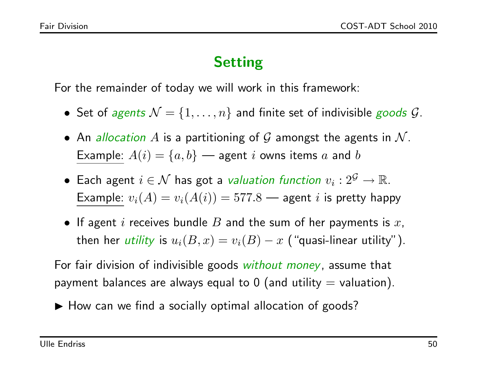### Setting

For the remainder of today we will work in this framework:

- Set of agents  $\mathcal{N} = \{1, \ldots, n\}$  and finite set of indivisible goods  $\mathcal{G}$ .
- An allocation A is a partitioning of G amongst the agents in  $\mathcal N$ . Example:  $A(i) = \{a, b\}$  — agent i owns items a and b
- $\bullet\,$  Each agent  $i\in\mathcal{N}$  has got a *valuation function*  $v_i:2^\mathcal{G}\rightarrow\mathbb{R}.$ Example:  $v_i(A) = v_i(A(i)) = 577.8$  — agent  $i$  is pretty happy
- If agent i receives bundle  $B$  and the sum of her payments is  $x$ , then her *utility* is  $u_i(B,x) = v_i(B) - x$  ("quasi-linear utility").

For fair division of indivisible goods *without money*, assume that payment balances are always equal to 0 (and utility  $=$  valuation).

 $\blacktriangleright$  How can we find a socially optimal allocation of goods?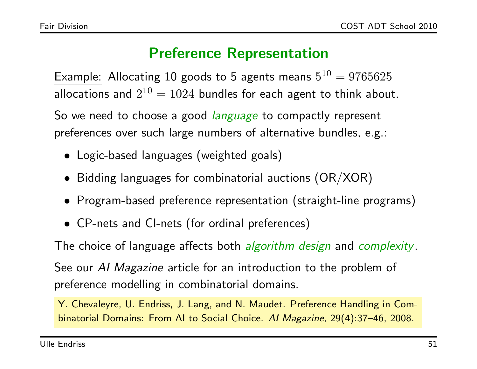## Preference Representation

Example: Allocating 10 goods to 5 agents means  $5^{10} = 9765625$ allocations and  $2^{10} = 1024$  bundles for each agent to think about.

So we need to choose a good *language* to compactly represent preferences over such large numbers of alternative bundles, e.g.:

- Logic-based languages (weighted goals)
- Bidding languages for combinatorial auctions (OR/XOR)
- Program-based preference representation (straight-line programs)
- CP-nets and CI-nets (for ordinal preferences)

The choice of language affects both *algorithm design* and *complexity*.

See our AI Magazine article for an introduction to the problem of preference modelling in combinatorial domains.

Y. Chevaleyre, U. Endriss, J. Lang, and N. Maudet. Preference Handling in Combinatorial Domains: From AI to Social Choice. AI Magazine, 29(4):37–46, 2008.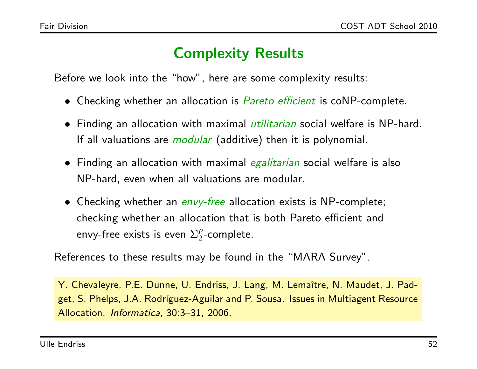### Complexity Results

Before we look into the "how", here are some complexity results:

- Checking whether an allocation is *Pareto efficient* is coNP-complete.
- Finding an allocation with maximal *utilitarian* social welfare is NP-hard. If all valuations are *modular* (additive) then it is polynomial.
- Finding an allocation with maximal *egalitarian* social welfare is also NP-hard, even when all valuations are modular.
- Checking whether an *envy-free* allocation exists is NP-complete; checking whether an allocation that is both Pareto efficient and envy-free exists is even  $\Sigma^p_2$  $\frac{p}{2}$ -complete.

References to these results may be found in the "MARA Survey".

Y. Chevaleyre, P.E. Dunne, U. Endriss, J. Lang, M. Lemaître, N. Maudet, J. Padget, S. Phelps, J.A. Rodríguez-Aguilar and P. Sousa. Issues in Multiagent Resource Allocation. Informatica, 30:3–31, 2006.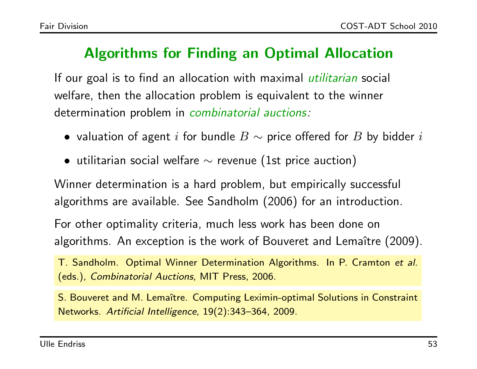### Algorithms for Finding an Optimal Allocation

If our goal is to find an allocation with maximal *utilitarian* social welfare, then the allocation problem is equivalent to the winner determination problem in *combinatorial auctions:* 

- valuation of agent i for bundle  $B \sim$  price offered for  $B$  by bidder i
- utilitarian social welfare  $\sim$  revenue (1st price auction)

Winner determination is a hard problem, but empirically successful algorithms are available. See Sandholm (2006) for an introduction.

For other optimality criteria, much less work has been done on algorithms. An exception is the work of Bouveret and Lemaître (2009).

T. Sandholm. Optimal Winner Determination Algorithms. In P. Cramton et al. (eds.), Combinatorial Auctions, MIT Press, 2006.

S. Bouveret and M. Lemaître. Computing Leximin-optimal Solutions in Constraint Networks. Artificial Intelligence, 19(2):343–364, 2009.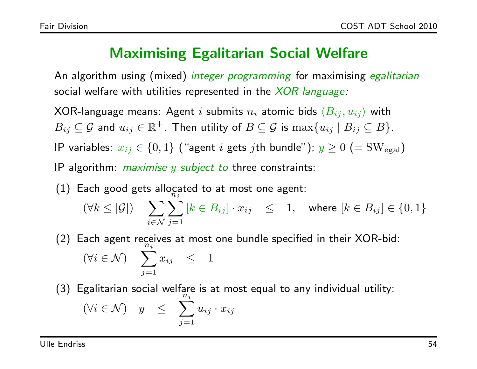#### Maximising Egalitarian Social Welfare

An algorithm using (mixed) *integer programming* for maximising *egalitarian* social welfare with utilities represented in the  $XOR$  language:

XOR-language means: Agent i submits  $n_i$  atomic bids  $\langle B_{ij} , u_{ij} \rangle$  with  $B_{ij} \subseteq \mathcal{G}$  and  $u_{ij} \in \mathbb{R}^+$ . Then utility of  $B \subseteq \mathcal{G}$  is  $\max\{u_{ij} \mid B_{ij} \subseteq B\}$ .

IP variables:  $x_{ij} \in \{0,1\}$  ("agent i gets jth bundle");  $y \ge 0$  (= SW<sub>egal</sub>)

- IP algorithm: *maximise y subject to three constraints*:
- $(1)$  Each good gets allocated to at most one agent:  $(\forall k \leq |\mathcal{G}|)$   $\sum_{k=1}^{n}$  $i \in \mathcal{N}$  j=1  $\widetilde{n_i}$  $[k \in B_{ij}] \cdot x_{ij} \leq 1$ , where  $[k \in B_{ij}] \in \{0,1\}$
- (2) Each agent receives at most one bundle specified in their XOR-bid:  $(\forall i \in \mathcal{N})$   $\sum x_{ij} \leq 1$  $\breve{n_i}$  $j=1$
- (3) Egalitarian social welfare is at most equal to any individual utility:  $(\forall i \in \mathcal{N})$  y  $\leq \sum u_{ij} \cdot x_{ij}$  $\tilde{n}_i$  $i=1$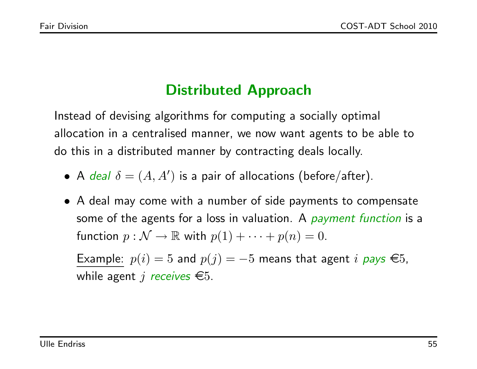# Distributed Approach

Instead of devising algorithms for computing a socially optimal allocation in a centralised manner, we now want agents to be able to do this in a distributed manner by contracting deals locally.

- A deal  $\delta = (A, A')$  is a pair of allocations (before/after).
- A deal may come with a number of side payments to compensate some of the agents for a loss in valuation. A *payment function* is a function  $p : \mathcal{N} \to \mathbb{R}$  with  $p(1) + \cdots + p(n) = 0$ .

Example:  $p(i) = 5$  and  $p(j) = -5$  means that agent i pays  $\in 5$ , while agent j receives  $\epsilon$ 5.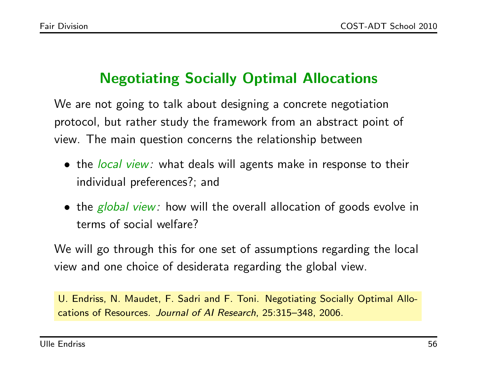## Negotiating Socially Optimal Allocations

We are not going to talk about designing a concrete negotiation protocol, but rather study the framework from an abstract point of view. The main question concerns the relationship between

- the *local view:* what deals will agents make in response to their individual preferences?; and
- the *global view:* how will the overall allocation of goods evolve in terms of social welfare?

We will go through this for one set of assumptions regarding the local view and one choice of desiderata regarding the global view.

U. Endriss, N. Maudet, F. Sadri and F. Toni. Negotiating Socially Optimal Allocations of Resources. Journal of AI Research, 25:315–348, 2006.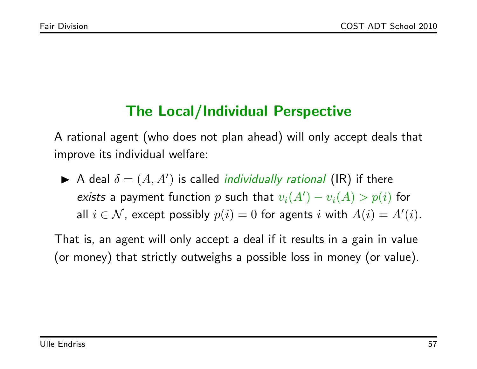## The Local/Individual Perspective

A rational agent (who does not plan ahead) will only accept deals that improve its individual welfare:

A deal  $\delta = (A, A')$  is called *individually rational* (IR) if there exists a payment function p such that  $v_i(A') - v_i(A) > p(i)$  for all  $i \in \mathcal{N}$ , except possibly  $p(i) = 0$  for agents i with  $A(i) = A'(i)$ .

That is, an agent will only accept a deal if it results in a gain in value (or money) that strictly outweighs a possible loss in money (or value).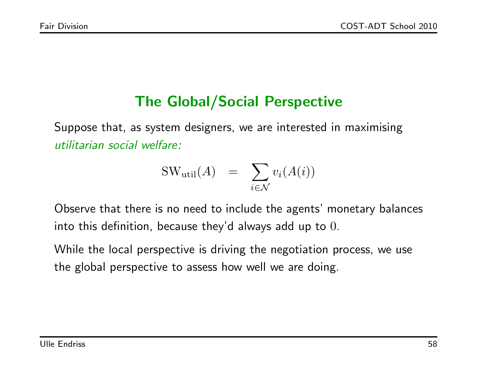## The Global/Social Perspective

Suppose that, as system designers, we are interested in maximising utilitarian social welfare:

$$
SW_{util}(A) = \sum_{i \in \mathcal{N}} v_i(A(i))
$$

Observe that there is no need to include the agents' monetary balances into this definition, because they'd always add up to 0.

While the local perspective is driving the negotiation process, we use the global perspective to assess how well we are doing.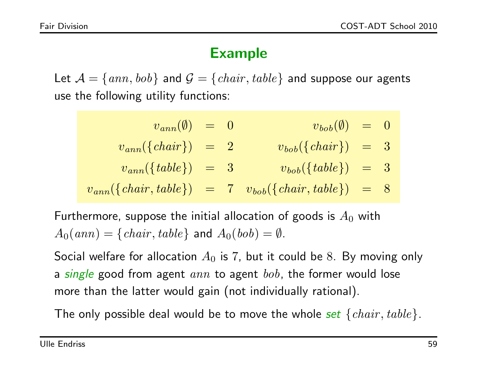### Example

Let  $\mathcal{A} = \{ \text{ann}, \text{bob} \}$  and  $\mathcal{G} = \{ \text{chair}, \text{table} \}$  and suppose our agents use the following utility functions:

- $v_{ann}(\emptyset) = 0$   $v_{bob}(\emptyset) = 0$
- $v_{ann}(\lbrace chair\rbrace) = 2$   $v_{bob}(\lbrace chair\rbrace) = 3$
- $v_{ann}(\lbrace table \rbrace) = 3$   $v_{bob}(\lbrace table \rbrace) = 3$

$$
v_{ann}(\{chair, table\}) = 7 v_{bob}(\{chair, table\}) = 8
$$

Furthermore, suppose the initial allocation of goods is  $A_0$  with  $A_0(ann) = \{chair, table\}$  and  $A_0(bob) = \emptyset$ .

Social welfare for allocation  $A_0$  is 7, but it could be 8. By moving only a single good from agent  $ann$  to agent  $bob$ , the former would lose more than the latter would gain (not individually rational).

The only possible deal would be to move the whole set  $\{chair, table\}$ .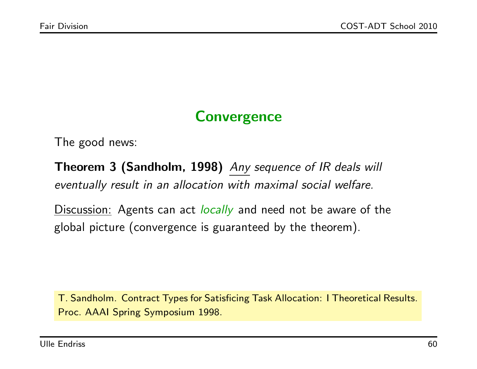## **Convergence**

The good news:

Theorem 3 (Sandholm, 1998) Any sequence of IR deals will eventually result in an allocation with maximal social welfare.

Discussion: Agents can act *locally* and need not be aware of the global picture (convergence is guaranteed by the theorem).

T. Sandholm. Contract Types for Satisficing Task Allocation: I Theoretical Results. Proc. AAAI Spring Symposium 1998.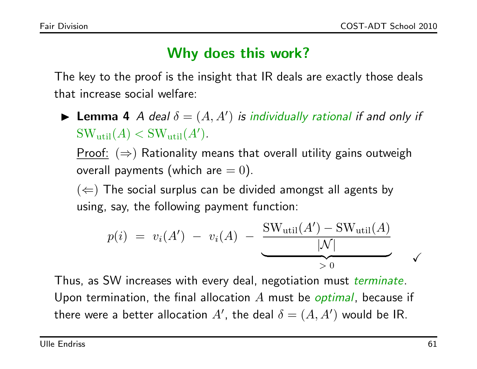### Why does this work?

The key to the proof is the insight that IR deals are exactly those deals that increase social welfare:

**Lemma 4** A deal  $\delta = (A, A')$  is individually rational if and only if  $SW_{util}(A) < SW_{util}(A')$ .

Proof:  $(\Rightarrow)$  Rationality means that overall utility gains outweigh overall payments (which are  $= 0$ ).

 $(\Leftarrow)$  The social surplus can be divided amongst all agents by using, say, the following payment function:

$$
p(i) = v_i(A') - v_i(A) - \frac{\text{SW}_{util}(A') - \text{SW}_{util}(A)}{|N|}
$$

Thus, as SW increases with every deal, negotiation must terminate. Upon termination, the final allocation  $A$  must be *optimal*, because if there were a better allocation  $A'$ , the deal  $\delta = (A, A')$  would be IR.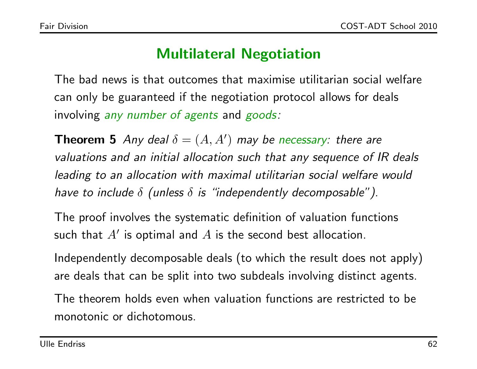### Multilateral Negotiation

The bad news is that outcomes that maximise utilitarian social welfare can only be guaranteed if the negotiation protocol allows for deals involving any number of agents and goods:

**Theorem 5** Any deal  $\delta = (A, A')$  may be necessary: there are valuations and an initial allocation such that any sequence of IR deals leading to an allocation with maximal utilitarian social welfare would have to include  $\delta$  (unless  $\delta$  is "independently decomposable").

The proof involves the systematic definition of valuation functions such that  $A'$  is optimal and  $A$  is the second best allocation.

Independently decomposable deals (to which the result does not apply) are deals that can be split into two subdeals involving distinct agents.

The theorem holds even when valuation functions are restricted to be monotonic or dichotomous.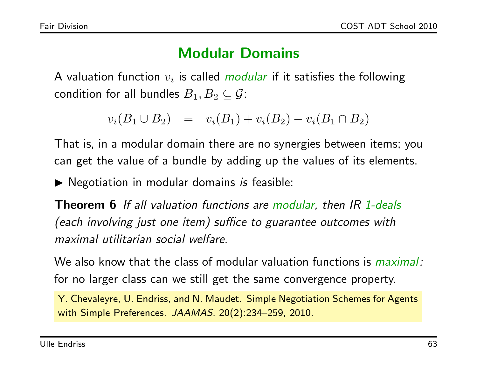#### Modular Domains

A valuation function  $v_i$  is called modular if it satisfies the following condition for all bundles  $B_1, B_2 \subseteq G$ :

$$
v_i(B_1 \cup B_2) = v_i(B_1) + v_i(B_2) - v_i(B_1 \cap B_2)
$$

That is, in a modular domain there are no synergies between items; you can get the value of a bundle by adding up the values of its elements.

 $\blacktriangleright$  Negotiation in modular domains is feasible:

Theorem 6 If all valuation functions are modular, then IR 1-deals (each involving just one item) suffice to guarantee outcomes with maximal utilitarian social welfare.

We also know that the class of modular valuation functions is *maximal*: for no larger class can we still get the same convergence property.

Y. Chevaleyre, U. Endriss, and N. Maudet. Simple Negotiation Schemes for Agents with Simple Preferences. JAAMAS, 20(2):234–259, 2010.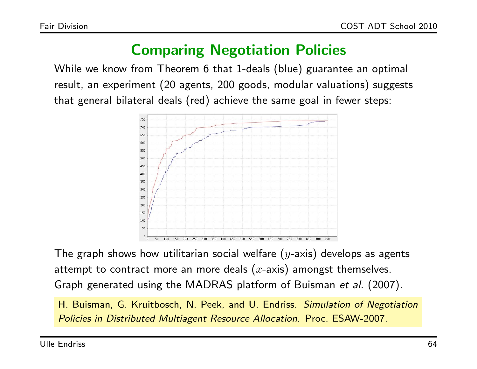### Comparing Negotiation Policies

While we know from Theorem 6 that 1-deals (blue) guarantee an optimal result, an experiment (20 agents, 200 goods, modular valuations) suggests that general bilateral deals (red) achieve the same goal in fewer steps:



The graph shows how utilitarian social welfare  $(y$ -axis) develops as agents attempt to contract more an more deals  $(x$ -axis) amongst themselves. Graph generated using the MADRAS platform of Buisman et al. (2007).

H. Buisman, G. Kruitbosch, N. Peek, and U. Endriss. Simulation of Negotiation Policies in Distributed Multiagent Resource Allocation. Proc. ESAW-2007.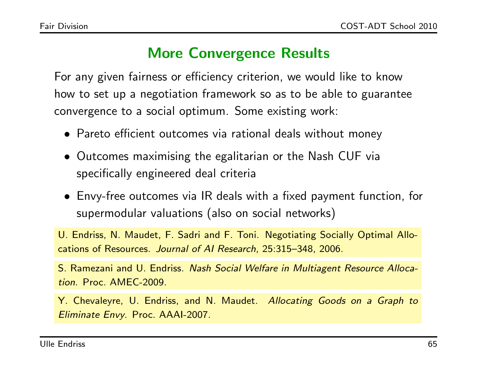### More Convergence Results

For any given fairness or efficiency criterion, we would like to know how to set up a negotiation framework so as to be able to guarantee convergence to a social optimum. Some existing work:

- Pareto efficient outcomes via rational deals without money
- Outcomes maximising the egalitarian or the Nash CUF via specifically engineered deal criteria
- Envy-free outcomes via IR deals with a fixed payment function, for supermodular valuations (also on social networks)

U. Endriss, N. Maudet, F. Sadri and F. Toni. Negotiating Socially Optimal Allocations of Resources. Journal of AI Research, 25:315–348, 2006.

S. Ramezani and U. Endriss. Nash Social Welfare in Multiagent Resource Allocation. Proc. AMEC-2009.

Y. Chevaleyre, U. Endriss, and N. Maudet. Allocating Goods on a Graph to Eliminate Envy. Proc. AAAI-2007.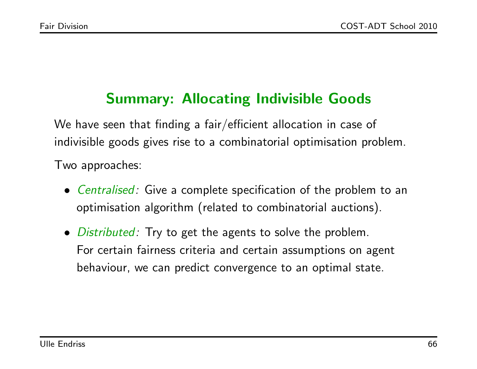## Summary: Allocating Indivisible Goods

We have seen that finding a fair/efficient allocation in case of indivisible goods gives rise to a combinatorial optimisation problem. Two approaches:

- Centralised: Give a complete specification of the problem to an optimisation algorithm (related to combinatorial auctions).
- *Distributed:* Try to get the agents to solve the problem. For certain fairness criteria and certain assumptions on agent behaviour, we can predict convergence to an optimal state.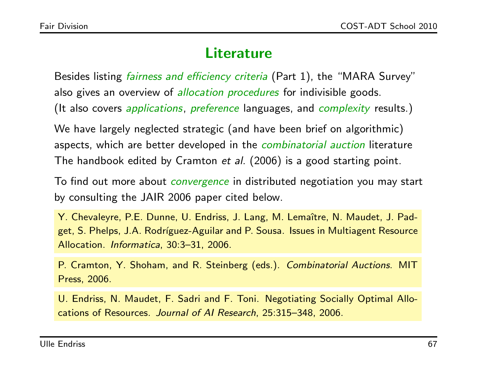#### Literature

Besides listing *fairness and efficiency criteria* (Part 1), the "MARA Survey" also gives an overview of *allocation procedures* for indivisible goods. (It also covers *applications, preference* languages, and *complexity* results.)

We have largely neglected strategic (and have been brief on algorithmic) aspects, which are better developed in the *combinatorial auction* literature The handbook edited by Cramton et al. (2006) is a good starting point.

To find out more about *convergence* in distributed negotiation you may start by consulting the JAIR 2006 paper cited below.

Y. Chevaleyre, P.E. Dunne, U. Endriss, J. Lang, M. Lemaître, N. Maudet, J. Padget, S. Phelps, J.A. Rodríguez-Aguilar and P. Sousa. Issues in Multiagent Resource Allocation. Informatica, 30:3–31, 2006.

P. Cramton, Y. Shoham, and R. Steinberg (eds.). Combinatorial Auctions. MIT Press, 2006.

U. Endriss, N. Maudet, F. Sadri and F. Toni. Negotiating Socially Optimal Allocations of Resources. Journal of AI Research, 25:315–348, 2006.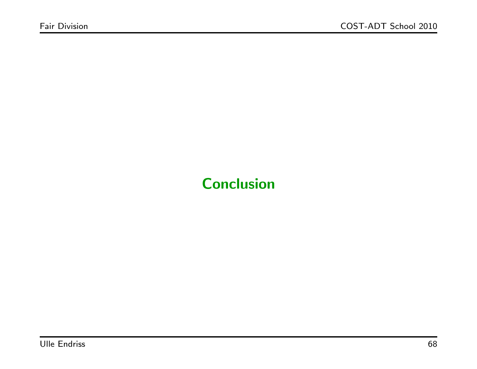# **Conclusion**